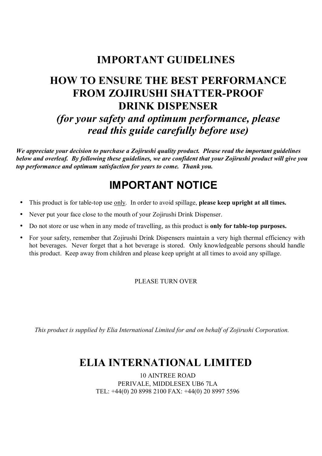## **IMPORTANT GUIDELINES**

# **HOW TO ENSURE THE BEST PERFORMANCE FROM ZOJIRUSHI SHATTER-PROOF DRINK DISPENSER**  *(for your safety and optimum performance, please read this guide carefully before use)*

*We appreciate your decision to purchase a Zojirushi quality product. Please read the important guidelines below and overleaf. By following these guidelines, we are confident that your Zojirushi product will give you top performance and optimum satisfaction for years to come. Thank you.* 

## **IMPORTANT NOTICE**

- This product is for table-top use only. In order to avoid spillage, **please keep upright at all times.**
- Never put your face close to the mouth of your Zojirushi Drink Dispenser.
- Do not store or use when in any mode of travelling, as this product is **only for table-top purposes.**
- For your safety, remember that Zojirushi Drink Dispensers maintain a very high thermal efficiency with hot beverages. Never forget that a hot beverage is stored. Only knowledgeable persons should handle this product. Keep away from children and please keep upright at all times to avoid any spillage.

#### PLEASE TURN OVER

*This product is supplied by Elia International Limited for and on behalf of Zojirushi Corporation.*

## **ELIA INTERNATIONAL LIMITED**

10 AINTREE ROAD PERIVALE, MIDDLESEX UB6 7LA TEL: +44(0) 20 8998 2100 FAX: +44(0) 20 8997 5596